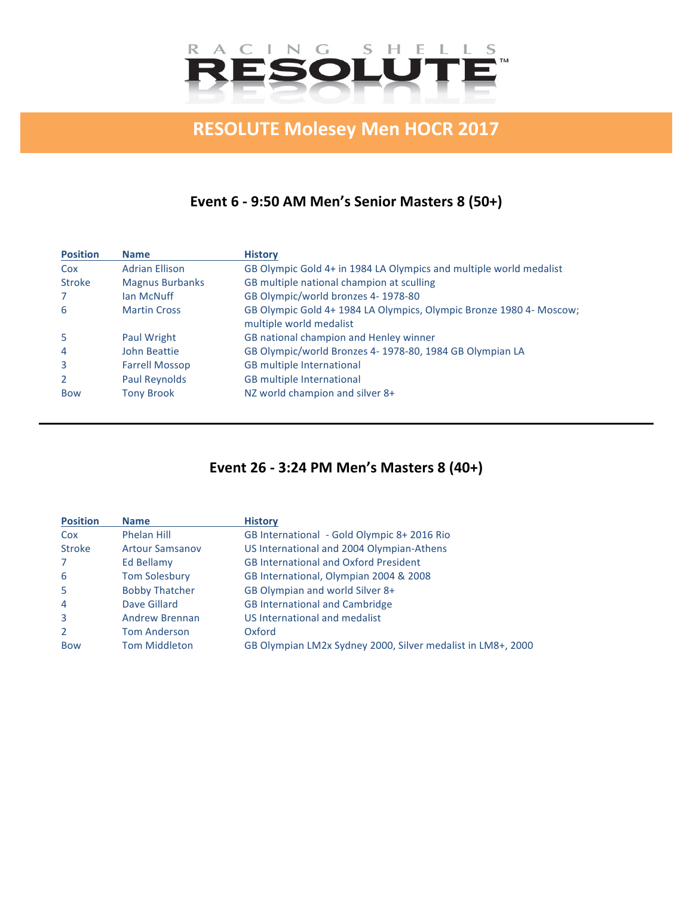

# **RESOLUTE Molesey Men HOCR 2017**

# **Event 6 - 9:50 AM Men's Senior Masters 8 (50+)**

| <b>Position</b> | <b>Name</b>            | <b>History</b>                                                                                 |
|-----------------|------------------------|------------------------------------------------------------------------------------------------|
| Cox             | <b>Adrian Ellison</b>  | GB Olympic Gold 4+ in 1984 LA Olympics and multiple world medalist                             |
| <b>Stroke</b>   | <b>Magnus Burbanks</b> | GB multiple national champion at sculling                                                      |
|                 | Ian McNuff             | GB Olympic/world bronzes 4-1978-80                                                             |
| 6               | <b>Martin Cross</b>    | GB Olympic Gold 4+ 1984 LA Olympics, Olympic Bronze 1980 4- Moscow;<br>multiple world medalist |
| 5               | Paul Wright            | GB national champion and Henley winner                                                         |
| 4               | John Beattie           | GB Olympic/world Bronzes 4- 1978-80, 1984 GB Olympian LA                                       |
| 3               | <b>Farrell Mossop</b>  | <b>GB</b> multiple International                                                               |
| 2               | Paul Reynolds          | <b>GB</b> multiple International                                                               |
| <b>Bow</b>      | <b>Tony Brook</b>      | NZ world champion and silver 8+                                                                |

# **Event 26 - 3:24 PM Men's Masters 8 (40+)**

| <b>Position</b> | <b>Name</b>            | <b>History</b>                                              |
|-----------------|------------------------|-------------------------------------------------------------|
| Cox             | Phelan Hill            | GB International - Gold Olympic 8+2016 Rio                  |
| <b>Stroke</b>   | <b>Artour Samsanov</b> | US International and 2004 Olympian-Athens                   |
| 7               | Ed Bellamy             | <b>GB International and Oxford President</b>                |
| 6               | <b>Tom Solesbury</b>   | GB International, Olympian 2004 & 2008                      |
| -5              | <b>Bobby Thatcher</b>  | GB Olympian and world Silver 8+                             |
| $\overline{4}$  | Dave Gillard           | <b>GB International and Cambridge</b>                       |
| $\overline{3}$  | <b>Andrew Brennan</b>  | US International and medalist                               |
| 2               | <b>Tom Anderson</b>    | Oxford                                                      |
| <b>Bow</b>      | <b>Tom Middleton</b>   | GB Olympian LM2x Sydney 2000, Silver medalist in LM8+, 2000 |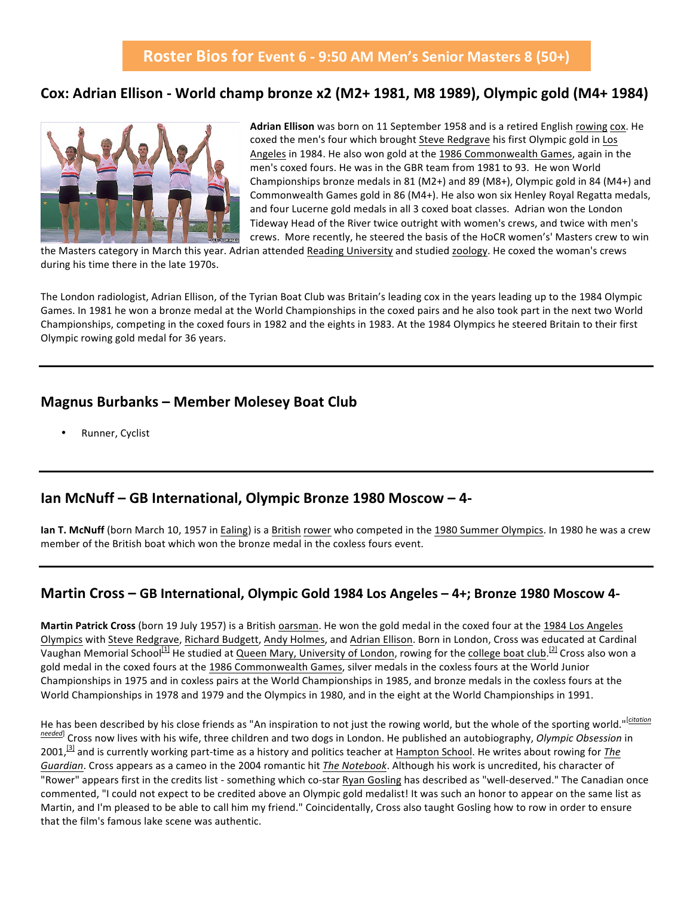### Cox: Adrian Ellison - World champ bronze x2 (M2+ 1981, M8 1989), Olympic gold (M4+ 1984)



Adrian Ellison was born on 11 September 1958 and is a retired English rowing cox. He coxed the men's four which brought Steve Redgrave his first Olympic gold in Los Angeles in 1984. He also won gold at the 1986 Commonwealth Games, again in the men's coxed fours. He was in the GBR team from 1981 to 93. He won World Championships bronze medals in 81 (M2+) and 89 (M8+), Olympic gold in 84 (M4+) and Commonwealth Games gold in 86 (M4+). He also won six Henley Royal Regatta medals, and four Lucerne gold medals in all 3 coxed boat classes. Adrian won the London Tideway Head of the River twice outright with women's crews, and twice with men's crews. More recently, he steered the basis of the HoCR women's' Masters crew to win

the Masters category in March this year. Adrian attended Reading University and studied zoology. He coxed the woman's crews during his time there in the late 1970s.

The London radiologist, Adrian Ellison, of the Tyrian Boat Club was Britain's leading cox in the years leading up to the 1984 Olympic Games. In 1981 he won a bronze medal at the World Championships in the coxed pairs and he also took part in the next two World Championships, competing in the coxed fours in 1982 and the eights in 1983. At the 1984 Olympics he steered Britain to their first Olympic rowing gold medal for 36 years.

#### **Magnus Burbanks – Member Molesey Boat Club**

Runner, Cyclist

### **Ian McNuff – GB International, Olympic Bronze 1980 Moscow – 4-**

**Ian T. McNuff** (born March 10, 1957 in Ealing) is a British rower who competed in the 1980 Summer Olympics. In 1980 he was a crew member of the British boat which won the bronze medal in the coxless fours event.

#### **Martin Cross – GB International, Olympic Gold 1984 Los Angeles – 4+; Bronze 1980 Moscow 4-**

Martin Patrick Cross (born 19 July 1957) is a British oarsman. He won the gold medal in the coxed four at the 1984 Los Angeles Olympics with Steve Redgrave, Richard Budgett, Andy Holmes, and Adrian Ellison. Born in London, Cross was educated at Cardinal Vaughan Memorial School<sup>[1]</sup> He studied at Queen Mary, University of London, rowing for the college boat club.<sup>[2]</sup> Cross also won a gold medal in the coxed fours at the 1986 Commonwealth Games, silver medals in the coxless fours at the World Junior Championships in 1975 and in coxless pairs at the World Championships in 1985, and bronze medals in the coxless fours at the World Championships in 1978 and 1979 and the Olympics in 1980, and in the eight at the World Championships in 1991.

He has been described by his close friends as "An inspiration to not just the rowing world, but the whole of the sporting world."<sup>[citation</sup>] *needed*] Cross now lives with his wife, three children and two dogs in London. He published an autobiography, *Olympic Obsession* in 2001,<sup>[3]</sup> and is currently working part-time as a history and politics teacher at Hampton School. He writes about rowing for *The* Guardian. Cross appears as a cameo in the 2004 romantic hit The Notebook. Although his work is uncredited, his character of "Rower" appears first in the credits list - something which co-star Ryan Gosling has described as "well-deserved." The Canadian once commented, "I could not expect to be credited above an Olympic gold medalist! It was such an honor to appear on the same list as Martin, and I'm pleased to be able to call him my friend." Coincidentally, Cross also taught Gosling how to row in order to ensure that the film's famous lake scene was authentic.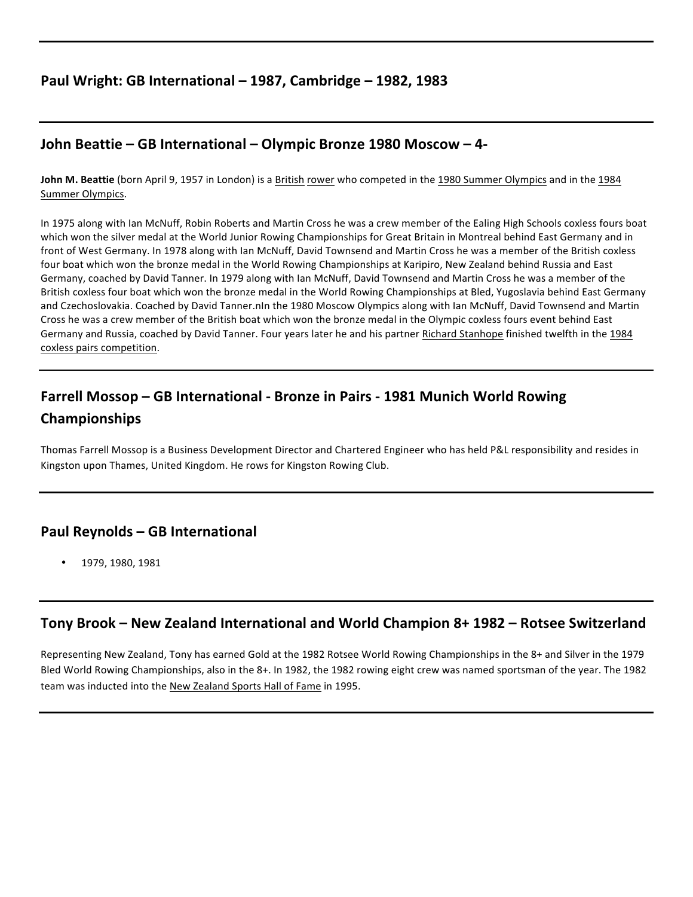### **Paul Wright: GB International – 1987, Cambridge – 1982, 1983**

### **John Beattie – GB International – Olympic Bronze 1980 Moscow – 4-**

**John M. Beattie** (born April 9, 1957 in London) is a British rower who competed in the 1980 Summer Olympics and in the 1984 Summer Olympics.

In 1975 along with Ian McNuff, Robin Roberts and Martin Cross he was a crew member of the Ealing High Schools coxless fours boat which won the silver medal at the World Junior Rowing Championships for Great Britain in Montreal behind East Germany and in front of West Germany. In 1978 along with Ian McNuff, David Townsend and Martin Cross he was a member of the British coxless four boat which won the bronze medal in the World Rowing Championships at Karipiro, New Zealand behind Russia and East Germany, coached by David Tanner. In 1979 along with Ian McNuff, David Townsend and Martin Cross he was a member of the British coxless four boat which won the bronze medal in the World Rowing Championships at Bled, Yugoslavia behind East Germany and Czechoslovakia. Coached by David Tanner.nIn the 1980 Moscow Olympics along with Ian McNuff, David Townsend and Martin Cross he was a crew member of the British boat which won the bronze medal in the Olympic coxless fours event behind East Germany and Russia, coached by David Tanner. Four years later he and his partner Richard Stanhope finished twelfth in the 1984 coxless pairs competition.

# **Farrell Mossop – GB International - Bronze in Pairs - 1981 Munich World Rowing Championships**

Thomas Farrell Mossop is a Business Development Director and Chartered Engineer who has held P&L responsibility and resides in Kingston upon Thames, United Kingdom. He rows for Kingston Rowing Club.

### **Paul Reynolds – GB International**

• 1979, 1980, 1981

### **Tony Brook – New Zealand International and World Champion 8+ 1982 – Rotsee Switzerland**

Representing New Zealand, Tony has earned Gold at the 1982 Rotsee World Rowing Championships in the 8+ and Silver in the 1979 Bled World Rowing Championships, also in the 8+. In 1982, the 1982 rowing eight crew was named sportsman of the year. The 1982 team was inducted into the New Zealand Sports Hall of Fame in 1995.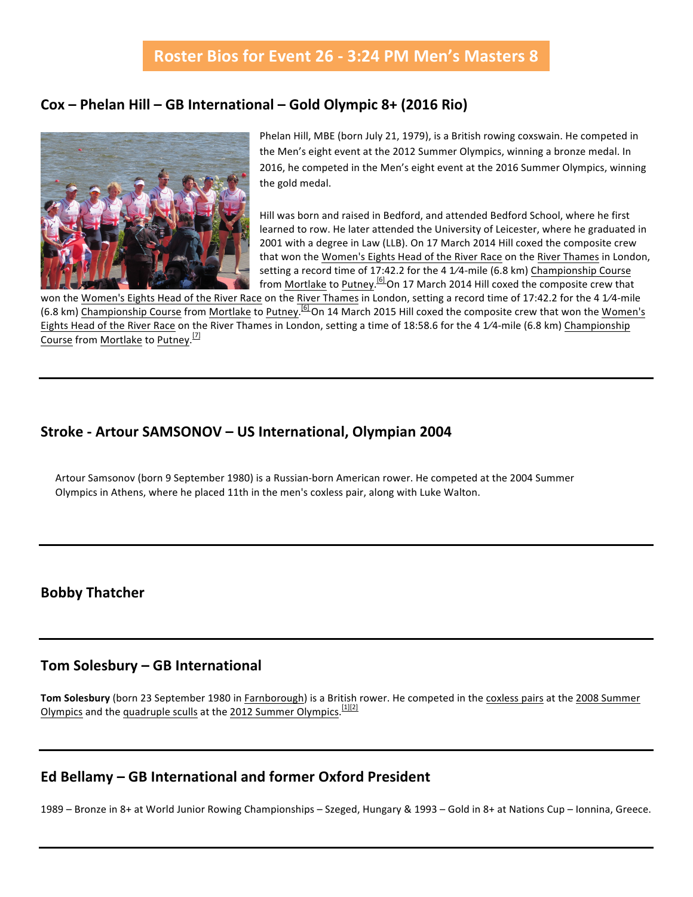## Roster Bios for Event 26 - 3:24 PM Men's Masters 8

#### **Cox – Phelan Hill – GB International – Gold Olympic 8+ (2016 Rio)**



Phelan Hill, MBE (born July 21, 1979), is a British rowing coxswain. He competed in the Men's eight event at the 2012 Summer Olympics, winning a bronze medal. In 2016, he competed in the Men's eight event at the 2016 Summer Olympics, winning the gold medal.

Hill was born and raised in Bedford, and attended Bedford School, where he first learned to row. He later attended the University of Leicester, where he graduated in 2001 with a degree in Law (LLB). On 17 March 2014 Hill coxed the composite crew that won the Women's Eights Head of the River Race on the River Thames in London, setting a record time of 17:42.2 for the 4  $1/4$ -mile (6.8 km) Championship Course from Mortlake to Putney.<sup>[6]</sup>On 17 March 2014 Hill coxed the composite crew that

won the Women's Eights Head of the River Race on the River Thames in London, setting a record time of 17:42.2 for the 4 1/4-mile (6.8 km) Championship Course from Mortlake to Putney.<sup>[6]</sup>On 14 March 2015 Hill coxed the composite crew that won the Women's Eights Head of the River Race on the River Thames in London, setting a time of 18:58.6 for the 4 1/4-mile (6.8 km) Championship Course from Mortlake to Putney.<sup>[7]</sup>

### **Stroke - Artour SAMSONOV – US International, Olympian 2004**

Artour Samsonov (born 9 September 1980) is a Russian-born American rower. He competed at the 2004 Summer Olympics in Athens, where he placed 11th in the men's coxless pair, along with Luke Walton.

### **Bobby Thatcher**

#### **Tom Solesbury – GB International**

Tom Solesbury (born 23 September 1980 in Farnborough) is a British rower. He competed in the coxless pairs at the 2008 Summer Olympics and the quadruple sculls at the 2012 Summer Olympics.<sup>[1][2]</sup>

### **Ed Bellamy – GB International and former Oxford President**

1989 – Bronze in 8+ at World Junior Rowing Championships – Szeged, Hungary & 1993 – Gold in 8+ at Nations Cup – Ionnina, Greece.